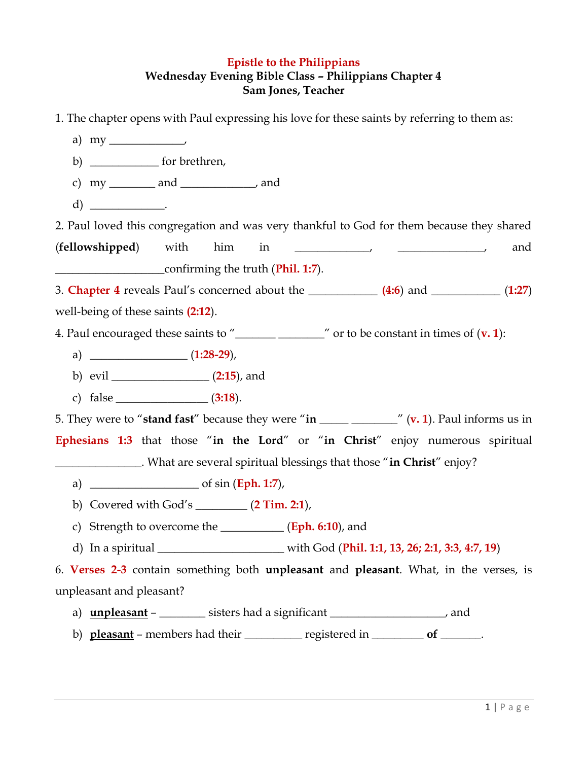## Epistle to the Philippians Wednesday Evening Bible Class – Philippians Chapter 4 Sam Jones, Teacher

1. The chapter opens with Paul expressing his love for these saints by referring to them as:

a) my \_\_\_\_\_\_\_\_\_\_\_\_\_, b) for brethren, c)  $my$  \_\_\_\_\_\_\_\_ and \_\_\_\_\_\_\_\_\_\_\_, and d)  $\qquad \qquad$ 2. Paul loved this congregation and was very thankful to God for them because they shared (fellowshipped) with him in \_\_\_\_\_\_\_\_\_\_\_\_\_, \_\_\_\_\_\_\_\_\_\_\_\_\_\_\_, and confirming the truth (Phil. 1:7). 3. Chapter 4 reveals Paul's concerned about the  $\qquad \qquad$  (4:6) and  $\qquad \qquad$  (1:27) well-being of these saints (2:12). 4. Paul encouraged these saints to " $\blacksquare$   $\blacksquare$ " or to be constant in times of  $(v, 1)$ : a)  $(1:28-29)$ , b) evil  $(2:15)$ , and c) false  $(3:18)$ . 5. They were to "stand fast" because they were "in  $\frac{1}{\sqrt{2}}$  (v. 1). Paul informs us in Ephesians 1:3 that those "in the Lord" or "in Christ" enjoy numerous spiritual What are several spiritual blessings that those "**in Christ**" enjoy? a)  $\frac{1}{2}$  of sin (Eph. 1:7), b) Covered with God's  $(2 Tim. 2:1)$ , c) Strength to overcome the  $\qquad \qquad$  (Eph. 6:10), and d) In a spiritual \_\_\_\_\_\_\_\_\_\_\_\_\_\_\_\_\_\_\_\_\_\_\_\_\_\_with God (Phil. 1:1, 13, 26; 2:1, 3:3, 4:7, 19) 6. Verses 2-3 contain something both unpleasant and pleasant. What, in the verses, is unpleasant and pleasant? a) **unpleasant** – \_\_\_\_\_\_\_\_ sisters had a significant \_\_\_\_\_\_\_\_\_\_\_\_\_\_\_\_\_\_\_\_, and b) pleasant – members had their  $\_\_\_\_\$ registered in  $\_\_\_\_\$  of  $\_\_\_\$ .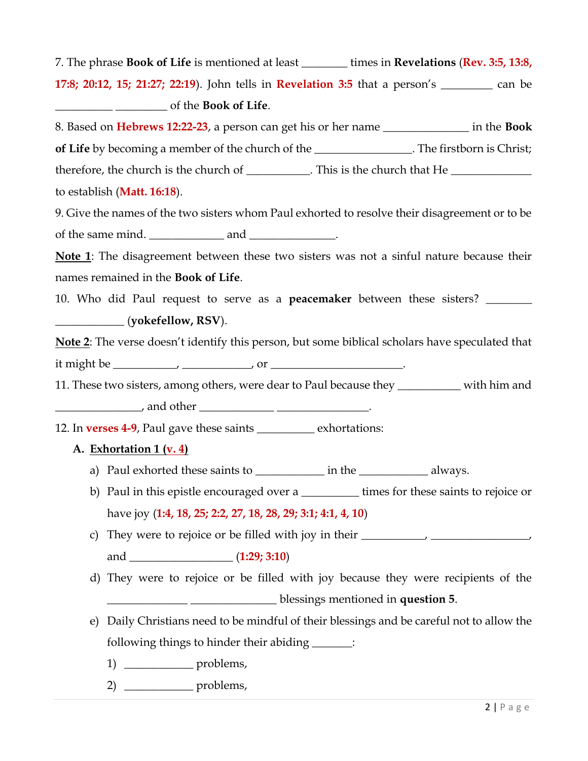| 7. The phrase Book of Life is mentioned at least _________ times in Revelations (Rev. 3:5, 13:8,                                                                                                                                                                                                                                                                                        |
|-----------------------------------------------------------------------------------------------------------------------------------------------------------------------------------------------------------------------------------------------------------------------------------------------------------------------------------------------------------------------------------------|
| 17:8; 20:12, 15; 21:27; 22:19). John tells in Revelation 3:5 that a person's _________ can be                                                                                                                                                                                                                                                                                           |
| of the Book of Life.                                                                                                                                                                                                                                                                                                                                                                    |
| 8. Based on Hebrews 12:22-23, a person can get his or her name ________________ in the Book                                                                                                                                                                                                                                                                                             |
| of Life by becoming a member of the church of the _________________. The firstborn is Christ;                                                                                                                                                                                                                                                                                           |
| therefore, the church is the church of ___________. This is the church that He _____________________                                                                                                                                                                                                                                                                                    |
| to establish ( <b>Matt. 16:18</b> ).                                                                                                                                                                                                                                                                                                                                                    |
| 9. Give the names of the two sisters whom Paul exhorted to resolve their disagreement or to be                                                                                                                                                                                                                                                                                          |
|                                                                                                                                                                                                                                                                                                                                                                                         |
| Note 1: The disagreement between these two sisters was not a sinful nature because their                                                                                                                                                                                                                                                                                                |
| names remained in the Book of Life.                                                                                                                                                                                                                                                                                                                                                     |
| 10. Who did Paul request to serve as a <b>peacemaker</b> between these sisters? _______                                                                                                                                                                                                                                                                                                 |
| ____________ (yokefellow, RSV).                                                                                                                                                                                                                                                                                                                                                         |
| Note 2: The verse doesn't identify this person, but some biblical scholars have speculated that                                                                                                                                                                                                                                                                                         |
|                                                                                                                                                                                                                                                                                                                                                                                         |
| 11. These two sisters, among others, were dear to Paul because they _________ with him and<br>$\frac{1}{2}$ and other $\frac{1}{2}$ and other $\frac{1}{2}$ and $\frac{1}{2}$ and $\frac{1}{2}$ and $\frac{1}{2}$ and $\frac{1}{2}$ and $\frac{1}{2}$ and $\frac{1}{2}$ and $\frac{1}{2}$ and $\frac{1}{2}$ and $\frac{1}{2}$ and $\frac{1}{2}$ and $\frac{1}{2}$ and $\frac{1}{2}$ and |
| 12. In verses 4-9, Paul gave these saints ________ exhortations:                                                                                                                                                                                                                                                                                                                        |
| A. Exhortation 1 (v. 4)                                                                                                                                                                                                                                                                                                                                                                 |
| a) Paul exhorted these saints to _______________ in the ______________ always.                                                                                                                                                                                                                                                                                                          |
| b) Paul in this epistle encouraged over a ___________ times for these saints to rejoice or                                                                                                                                                                                                                                                                                              |
| have joy (1:4, 18, 25; 2:2, 27, 18, 28, 29; 3:1; 4:1, 4, 10)                                                                                                                                                                                                                                                                                                                            |
| C)                                                                                                                                                                                                                                                                                                                                                                                      |
| and ________________________(1:29; 3:10)                                                                                                                                                                                                                                                                                                                                                |

- d) They were to rejoice or be filled with joy because they were recipients of the **\_\_\_\_\_\_\_\_\_** blessings mentioned in question 5.
- e) Daily Christians need to be mindful of their blessings and be careful not to allow the following things to hinder their abiding \_\_\_\_\_\_\_:
	- 1) \_\_\_\_\_\_\_\_\_\_\_\_\_\_ problems,
	- 2) \_\_\_\_\_\_\_\_\_\_\_\_\_\_ problems,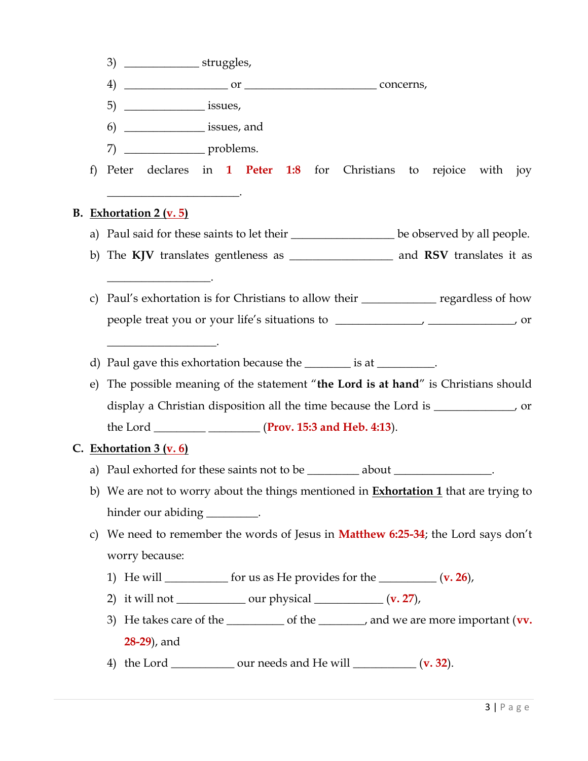|               | ______________________ struggles,<br>3)                                                                                                                                                                                                                                                                                                                                                                                    |
|---------------|----------------------------------------------------------------------------------------------------------------------------------------------------------------------------------------------------------------------------------------------------------------------------------------------------------------------------------------------------------------------------------------------------------------------------|
|               | $\frac{1}{\sqrt{1-\frac{1}{2}}\sqrt{1-\frac{1}{2}}\sqrt{1-\frac{1}{2}}\sqrt{1-\frac{1}{2}}\sqrt{1-\frac{1}{2}}\sqrt{1-\frac{1}{2}}\sqrt{1-\frac{1}{2}}\sqrt{1-\frac{1}{2}}\sqrt{1-\frac{1}{2}}\sqrt{1-\frac{1}{2}}\sqrt{1-\frac{1}{2}}\sqrt{1-\frac{1}{2}}\sqrt{1-\frac{1}{2}}\sqrt{1-\frac{1}{2}}\sqrt{1-\frac{1}{2}}\sqrt{1-\frac{1}{2}}\sqrt{1-\frac{1}{2}}\sqrt{1-\frac{1}{2}}\sqrt{1-\frac{1}{2}}\sqrt{1-\frac$<br>4) |
|               | $\frac{\ }{\ }$ issues,<br>5)                                                                                                                                                                                                                                                                                                                                                                                              |
|               | issues, and<br>6)                                                                                                                                                                                                                                                                                                                                                                                                          |
|               | problems.<br>7)                                                                                                                                                                                                                                                                                                                                                                                                            |
| f             | declares in 1 Peter 1:8 for<br>Peter<br>Christians to<br>rejoice with joy                                                                                                                                                                                                                                                                                                                                                  |
|               | <u> 1989 - Johann Stone, amerikansk politiker (</u><br>B. Exhortation 2 (v. 5)                                                                                                                                                                                                                                                                                                                                             |
|               | a) Paul said for these saints to let their _______________ be observed by all people.                                                                                                                                                                                                                                                                                                                                      |
|               |                                                                                                                                                                                                                                                                                                                                                                                                                            |
|               |                                                                                                                                                                                                                                                                                                                                                                                                                            |
| C)            | Paul's exhortation is for Christians to allow their _______________ regardless of how                                                                                                                                                                                                                                                                                                                                      |
|               |                                                                                                                                                                                                                                                                                                                                                                                                                            |
|               | <u> 1989 - Johann Stein, Amerikaansk politiker (</u> * 1920)                                                                                                                                                                                                                                                                                                                                                               |
|               | d) Paul gave this exhortation because the $\_\_\_\_\_$ is at $\_\_\_\_\_\_$ .                                                                                                                                                                                                                                                                                                                                              |
|               | e) The possible meaning of the statement "the Lord is at hand" is Christians should                                                                                                                                                                                                                                                                                                                                        |
|               | display a Christian disposition all the time because the Lord is _____________, or                                                                                                                                                                                                                                                                                                                                         |
|               |                                                                                                                                                                                                                                                                                                                                                                                                                            |
|               | C. Exhortation $3(v.6)$                                                                                                                                                                                                                                                                                                                                                                                                    |
|               | a) Paul exhorted for these saints not to be ___________ about _________________.                                                                                                                                                                                                                                                                                                                                           |
|               | b) We are not to worry about the things mentioned in <b>Exhortation 1</b> that are trying to                                                                                                                                                                                                                                                                                                                               |
|               | hinder our abiding _________.                                                                                                                                                                                                                                                                                                                                                                                              |
| $\mathcal{C}$ | We need to remember the words of Jesus in Matthew 6:25-34; the Lord says don't                                                                                                                                                                                                                                                                                                                                             |
|               | worry because:                                                                                                                                                                                                                                                                                                                                                                                                             |
|               | 1) He will $\frac{1}{\sqrt{1-\frac{1}{\sqrt{1-\frac{1}{\sqrt{1-\frac{1}{\sqrt{1-\frac{1}{\sqrt{1-\frac{1}{\sqrt{1-\frac{1}{\sqrt{1-\frac{1}{\sqrt{1-\frac{1}{\sqrt{1-\frac{1}{\sqrt{1-\frac{1}{\sqrt{1-\frac{1}{\sqrt{1-\frac{1}{\sqrt{1-\frac{1}{\sqrt{1-\frac{1}{\sqrt{1-\frac{1}{\sqrt{1-\frac{1}{\sqrt{1-\frac{1}{\sqrt{1-\frac{1}{\sqrt{1-\frac{1}{\sqrt{1-\frac{1}{\sqrt{1-\frac{1}{\sqrt{1-\frac{1}{\sqrt{1-\frac$  |
|               | 2) it will not ______________ our physical _____________ (v. 27),                                                                                                                                                                                                                                                                                                                                                          |
|               | 3) He takes care of the _____________ of the __________, and we are more important (vv.                                                                                                                                                                                                                                                                                                                                    |
|               | $(28-29)$ , and                                                                                                                                                                                                                                                                                                                                                                                                            |
|               | 4) the Lord $\frac{1}{\sqrt{1-\frac{1}{\sqrt{1-\frac{1}{\sqrt{1-\frac{1}{\sqrt{1-\frac{1}{\sqrt{1-\frac{1}{\sqrt{1-\frac{1}{\sqrt{1-\frac{1}{\sqrt{1-\frac{1}{\sqrt{1-\frac{1}{\sqrt{1-\frac{1}{\sqrt{1-\frac{1}{\sqrt{1-\frac{1}{\sqrt{1-\frac{1}{\sqrt{1-\frac{1}{\sqrt{1-\frac{1}{\sqrt{1-\frac{1}{\sqrt{1-\frac{1}{\sqrt{1-\frac{1}{\sqrt{1-\frac{1}{\sqrt{1-\frac{1}{\sqrt{1-\frac{1}{\sqrt{1-\frac{1}{\sqrt{1-\$     |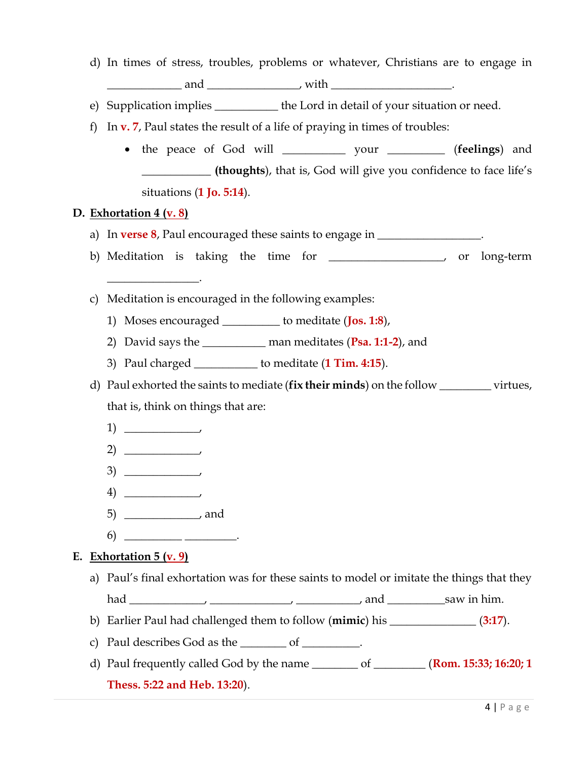|    |               | d) In times of stress, troubles, problems or whatever, Christians are to engage in           |
|----|---------------|----------------------------------------------------------------------------------------------|
|    |               | $\frac{1}{2}$ and $\frac{1}{2}$ with $\frac{1}{2}$ .                                         |
|    | e)            | Supplication implies ____________ the Lord in detail of your situation or need.              |
|    | f             | In v. 7, Paul states the result of a life of praying in times of troubles:                   |
|    |               |                                                                                              |
|    |               | (thoughts), that is, God will give you confidence to face life's                             |
|    |               | situations $(1$ Jo. 5:14).                                                                   |
|    |               | D. Exhortation 4 (v. 8)                                                                      |
|    |               | a) In verse 8, Paul encouraged these saints to engage in _________________.                  |
|    |               | b) Meditation is taking the time for ________________, or long-term                          |
|    |               | <u> 1990 - Johann Barbara, martin e</u>                                                      |
|    | $\mathcal{C}$ | Meditation is encouraged in the following examples:                                          |
|    |               | 1) Moses encouraged _________ to meditate (Jos. 1:8),                                        |
|    |               | 2) David says the _____________ man meditates (Psa. 1:1-2), and                              |
|    |               | 3) Paul charged ___________ to meditate (1 Tim. 4:15).                                       |
|    |               | d) Paul exhorted the saints to mediate (fix their minds) on the follow $\_\_\_\_\_$ virtues, |
|    |               | that is, think on things that are:                                                           |
|    |               |                                                                                              |
|    |               |                                                                                              |
|    |               |                                                                                              |
|    |               | 4)<br>$\overline{\phantom{a}}$                                                               |
|    |               | $\frac{1}{\sqrt{1-\frac{1}{2}}}\$ and<br>5)                                                  |
|    |               | 6)                                                                                           |
| Е. |               | Exhortation $5 (v. 9)$                                                                       |
|    |               | a) Paul's final exhortation was for these saints to model or imitate the things that they    |
|    |               |                                                                                              |
|    | b)            | Earlier Paul had challenged them to follow (mimic) his _______________ (3:17).               |
|    | C)            | Paul describes God as the <u>equal</u> of <u>equal</u> .                                     |
|    |               | d) Paul frequently called God by the name _________ of ________ (Rom. 15:33; 16:20; 1        |
|    |               | Thess. 5:22 and Heb. 13:20).                                                                 |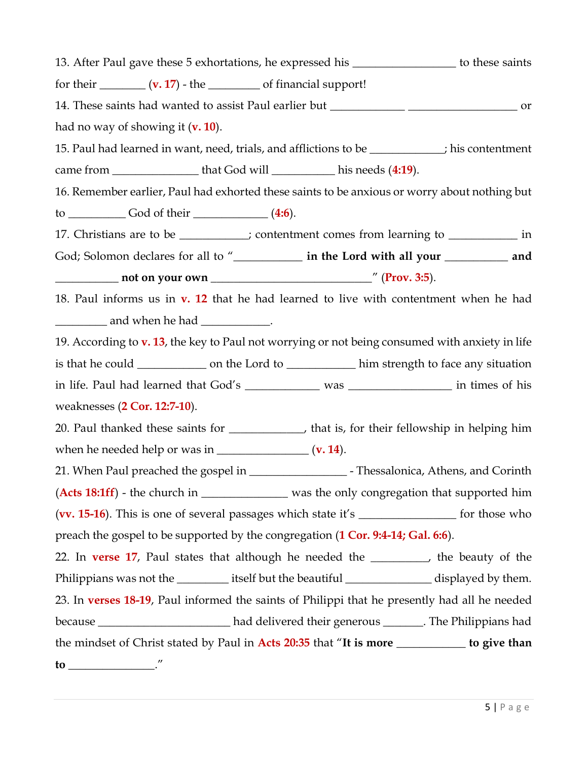13. After Paul gave these 5 exhortations, he expressed his \_\_\_\_\_\_\_\_\_\_\_\_\_\_\_\_\_\_ to these saints for their  $\underline{\hspace{1cm}}$   $(\mathbf{v. 17})$  - the  $\underline{\hspace{1cm}}$  of financial support! 14. These saints had wanted to assist Paul earlier but \_\_\_\_\_\_\_\_\_\_\_\_\_ \_\_\_\_\_\_\_\_\_\_\_\_\_\_\_\_\_\_\_ or had no way of showing it  $(v, 10)$ . 15. Paul had learned in want, need, trials, and afflictions to be \_\_\_\_\_\_\_\_\_\_\_\_\_; his contentment came from \_\_\_\_\_\_\_\_\_\_\_\_\_\_\_\_\_\_\_\_\_that God will \_\_\_\_\_\_\_\_\_\_\_\_\_\_\_\_his needs (4:19). 16. Remember earlier, Paul had exhorted these saints to be anxious or worry about nothing but to  $\qquad \qquad \text{God of their} \qquad \qquad (4:6).$ 17. Christians are to be \_\_\_\_\_\_\_\_\_\_; contentment comes from learning to \_\_\_\_\_\_\_\_\_\_\_\_ in God; Solomon declares for all to "\_\_\_\_\_\_\_\_\_\_\_\_\_ in the Lord with all your \_\_\_\_\_\_\_\_\_\_\_ and  $\blacksquare$  not on your own  $\blacksquare$  (Prov. 3:5). 18. Paul informs us in v. 12 that he had learned to live with contentment when he had \_\_\_\_\_\_\_\_\_ and when he had \_\_\_\_\_\_\_\_\_\_\_\_. 19. According to v. 13, the key to Paul not worrying or not being consumed with anxiety in life is that he could \_\_\_\_\_\_\_\_\_\_\_\_\_ on the Lord to \_\_\_\_\_\_\_\_\_\_\_\_\_\_ him strength to face any situation in life. Paul had learned that God's \_\_\_\_\_\_\_\_\_\_\_\_\_ was \_\_\_\_\_\_\_\_\_\_\_\_\_\_\_\_\_\_ in times of his weaknesses (2 Cor. 12:7-10). 20. Paul thanked these saints for \_\_\_\_\_\_\_\_\_\_, that is, for their fellowship in helping him when he needed help or was in  $\sqrt{(v. 14)}$ . 21. When Paul preached the gospel in Thessalonica, Athens, and Corinth (Acts 18:1ff) - the church in was the only congregation that supported him (vv. 15-16). This is one of several passages which state it's \_\_\_\_\_\_\_\_\_\_\_\_\_\_\_\_\_ for those who preach the gospel to be supported by the congregation (1 Cor. 9:4-14; Gal. 6:6). 22. In verse 17, Paul states that although he needed the \_\_\_\_\_\_\_, the beauty of the Philippians was not the \_\_\_\_\_\_\_\_\_\_ itself but the beautiful \_\_\_\_\_\_\_\_\_\_\_\_\_\_\_\_\_\_ displayed by them. 23. In verses 18-19, Paul informed the saints of Philippi that he presently had all he needed because \_\_\_\_\_\_\_\_\_\_\_\_\_\_\_\_\_\_\_\_\_\_\_ had delivered their generous \_\_\_\_\_\_\_. The Philippians had the mindset of Christ stated by Paul in Acts 20:35 that "It is more \_\_\_\_\_\_\_\_\_\_\_\_ to give than  $to$   $\qquad$